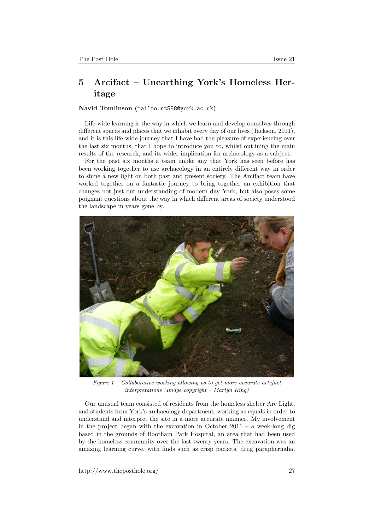## 5 Arcifact – Unearthing York's Homeless Heritage

## Navid Tomlinson (<mailto:nt588@york.ac.uk>)

Life-wide learning is the way in which we learn and develop ourselves through different spaces and places that we inhabit every day of our lives (Jackson, 2011), and it is this life-wide journey that I have had the pleasure of experiencing over the last six months, that I hope to introduce you to, whilst outlining the main results of the research, and its wider implication for archaeology as a subject.

For the past six months a team unlike any that York has seen before has been working together to use archaeology in an entirely different way in order to shine a new light on both past and present society. The Arcifact team have worked together on a fantastic journey to bring together an exhibition that changes not just our understanding of modern day York, but also poses some poignant questions about the way in which different areas of society understood the landscape in years gone by.



Figure  $1$  – Collaborative working allowing us to get more accurate artefact interpretations (Image copyright – Martyn King)

Our unusual team consisted of residents from the homeless shelter Arc Light, and students from York's archaeology department, working as equals in order to understand and interpret the site in a more accurate manner. My involvement in the project began with the excavation in October  $2011 - a$  week-long dig based in the grounds of Bootham Park Hospital, an area that had been used by the homeless community over the last twenty years. The excavation was an amazing learning curve, with finds such as crisp packets, drug paraphernalia,

http://www.theposthole.org/ 27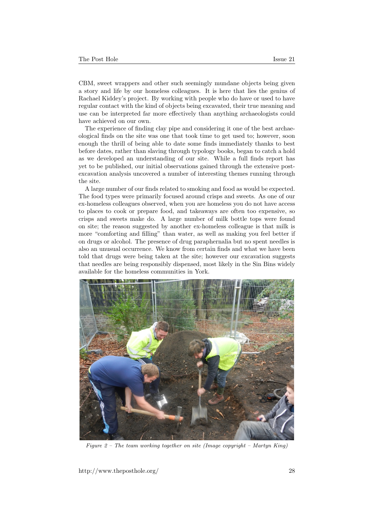CBM, sweet wrappers and other such seemingly mundane objects being given a story and life by our homeless colleagues. It is here that lies the genius of Rachael Kiddey's project. By working with people who do have or used to have regular contact with the kind of objects being excavated, their true meaning and use can be interpreted far more effectively than anything archaeologists could have achieved on our own.

The experience of finding clay pipe and considering it one of the best archaeological finds on the site was one that took time to get used to; however, soon enough the thrill of being able to date some finds immediately thanks to best before dates, rather than slaving through typology books, began to catch a hold as we developed an understanding of our site. While a full finds report has yet to be published, our initial observations gained through the extensive postexcavation analysis uncovered a number of interesting themes running through the site.

A large number of our finds related to smoking and food as would be expected. The food types were primarily focused around crisps and sweets. As one of our ex-homeless colleagues observed, when you are homeless you do not have access to places to cook or prepare food, and takeaways are often too expensive, so crisps and sweets make do. A large number of milk bottle tops were found on site; the reason suggested by another ex-homeless colleague is that milk is more "comforting and filling" than water, as well as making you feel better if on drugs or alcohol. The presence of drug paraphernalia but no spent needles is also an unusual occurrence. We know from certain finds and what we have been told that drugs were being taken at the site; however our excavation suggests that needles are being responsibly dispensed, most likely in the Sin Bins widely available for the homeless communities in York.



Figure 2 – The team working together on site (Image copyright – Martyn King)

http://www.theposthole.org/ 28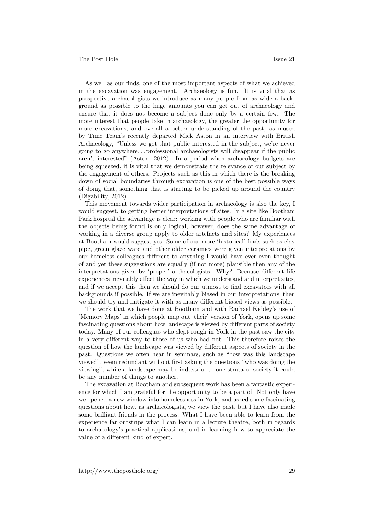As well as our finds, one of the most important aspects of what we achieved in the excavation was engagement. Archaeology is fun. It is vital that as prospective archaeologists we introduce as many people from as wide a background as possible to the huge amounts you can get out of archaeology and ensure that it does not become a subject done only by a certain few. The more interest that people take in archaeology, the greater the opportunity for more excavations, and overall a better understanding of the past; as mused by Time Team's recently departed Mick Aston in an interview with British Archaeology, "Unless we get that public interested in the subject, we're never going to go anywhere. . . professional archaeologists will disappear if the public aren't interested" (Aston, 2012). In a period when archaeology budgets are being squeezed, it is vital that we demonstrate the relevance of our subject by the engagement of others. Projects such as this in which there is the breaking down of social boundaries through excavation is one of the best possible ways of doing that, something that is starting to be picked up around the country (Digability, 2012).

This movement towards wider participation in archaeology is also the key, I would suggest, to getting better interpretations of sites. In a site like Bootham Park hospital the advantage is clear: working with people who are familiar with the objects being found is only logical, however, does the same advantage of working in a diverse group apply to older artefacts and sites? My experiences at Bootham would suggest yes. Some of our more 'historical' finds such as clay pipe, green glaze ware and other older ceramics were given interpretations by our homeless colleagues different to anything I would have ever even thought of and yet these suggestions are equally (if not more) plausible then any of the interpretations given by 'proper' archaeologists. Why? Because different life experiences inevitably affect the way in which we understand and interpret sites, and if we accept this then we should do our utmost to find excavators with all backgrounds if possible. If we are inevitably biased in our interpretations, then we should try and mitigate it with as many different biased views as possible.

The work that we have done at Bootham and with Rachael Kiddey's use of 'Memory Maps' in which people map out 'their' version of York, opens up some fascinating questions about how landscape is viewed by different parts of society today. Many of our colleagues who slept rough in York in the past saw the city in a very different way to those of us who had not. This therefore raises the question of how the landscape was viewed by different aspects of society in the past. Questions we often hear in seminars, such as "how was this landscape viewed", seem redundant without first asking the questions "who was doing the viewing", while a landscape may be industrial to one strata of society it could be any number of things to another.

The excavation at Bootham and subsequent work has been a fantastic experience for which I am grateful for the opportunity to be a part of. Not only have we opened a new window into homelessness in York, and asked some fascinating questions about how, as archaeologists, we view the past, but I have also made some brilliant friends in the process. What I have been able to learn from the experience far outstrips what I can learn in a lecture theatre, both in regards to archaeology's practical applications, and in learning how to appreciate the value of a different kind of expert.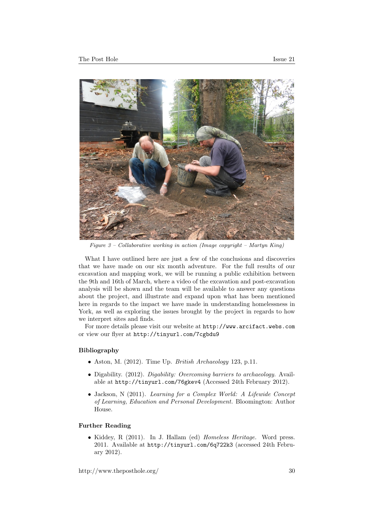

Figure  $3$  – Collaborative working in action (Image copyright – Martyn King)

What I have outlined here are just a few of the conclusions and discoveries that we have made on our six month adventure. For the full results of our excavation and mapping work, we will be running a public exhibition between the 9th and 16th of March, where a video of the excavation and post-excavation analysis will be shown and the team will be available to answer any questions about the project, and illustrate and expand upon what has been mentioned here in regards to the impact we have made in understanding homelessness in York, as well as exploring the issues brought by the project in regards to how we interpret sites and finds.

For more details please visit our website at <http://www.arcifact.webs.com> or view our flyer at <http://tinyurl.com/7cgbdu9>

## Bibliography

- Aston, M.  $(2012)$ . Time Up. *British Archaeology* 123, p.11.
- Digability. (2012). *Digability: Overcoming barriers to archaeology*. Available at <http://tinyurl.com/76gkev4> (Accessed 24th February 2012).
- Jackson, N (2011). Learning for a Complex World: A Lifewide Concept of Learning, Education and Personal Development. Bloomington: Author House.

## Further Reading

• Kiddey, R (2011). In J. Hallam (ed) Homeless Heritage. Word press. 2011. Available at <http://tinyurl.com/6q722k3> (accessed 24th February 2012).